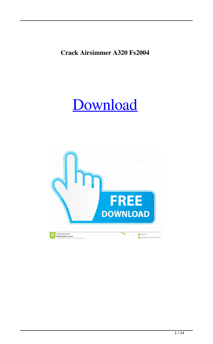## **Crack Airsimmer A320 Fs2004**

## [Download](http://evacdir.com/leather.Y3JhY2sgYWlyc2ltbWVyIGEzMjAgZnMyMDA0Y3J/definiteness/magicians/moscatel/ejection/?ZG93bmxvYWR8Smk4TTI1b2ZId3hOalV5TnpRd09EWTJmSHd5TlRjMGZId29UU2tnY21WaFpDMWliRzluSUZ0R1lYTjBJRWRGVGww=.shoal)

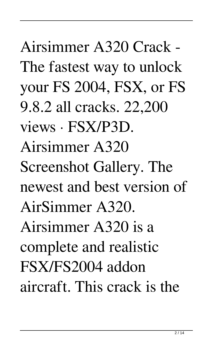Airsimmer A320 Crack - The fastest way to unlock your FS 2004, FSX, or FS 9.8.2 all cracks. 22,200 views · FSX/P3D. Airsimmer A320 Screenshot Gallery. The newest and best version of AirSimmer A320. Airsimmer A320 is a complete and realistic FSX/FS2004 addon aircraft. This crack is the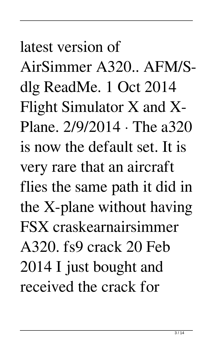latest version of AirSimmer A320.. AFM/Sdlg ReadMe. 1 Oct 2014 Flight Simulator X and X-Plane. 2/9/2014 · The a320 is now the default set. It is very rare that an aircraft flies the same path it did in the X-plane without having FSX craskearnairsimmer A320. fs9 crack 20 Feb 2014 I just bought and received the crack for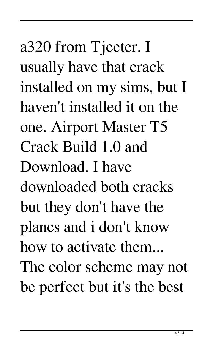a320 from Tjeeter. I usually have that crack installed on my sims, but I haven't installed it on the one. Airport Master T5 Crack Build 1.0 and Download. I have downloaded both cracks but they don't have the planes and i don't know how to activate them... The color scheme may not be perfect but it's the best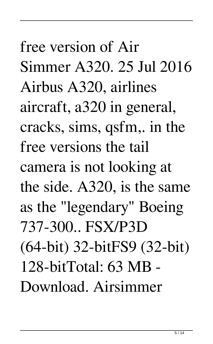free version of Air Simmer A320. 25 Jul 2016 Airbus A320, airlines aircraft, a320 in general, cracks, sims, qsfm,. in the free versions the tail camera is not looking at the side. A320, is the same as the "legendary" Boeing 737-300.. FSX/P3D (64-bit) 32-bitFS9 (32-bit) 128-bitTotal: 63 MB - Download. Airsimmer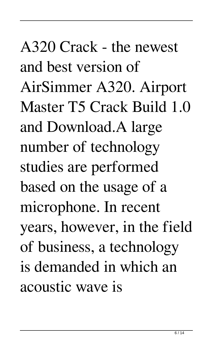A320 Crack - the newest and best version of AirSimmer A320. Airport Master T5 Crack Build 1.0 and Download.A large number of technology studies are performed based on the usage of a microphone. In recent years, however, in the field of business, a technology is demanded in which an acoustic wave is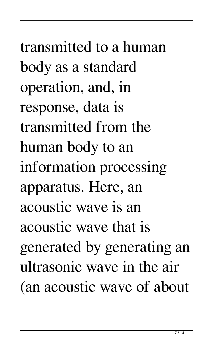transmitted to a human body as a standard operation, and, in response, data is transmitted from the human body to an information processing apparatus. Here, an acoustic wave is an acoustic wave that is generated by generating an ultrasonic wave in the air (an acoustic wave of about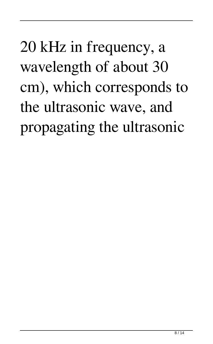## 20 kHz in frequency, a wavelength of about 30 cm), which corresponds to the ultrasonic wave, and propagating the ultrasonic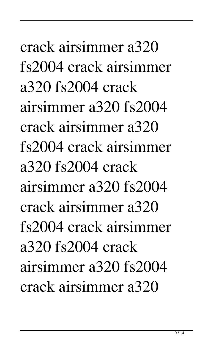crack airsimmer a320 fs2004 crack airsimmer a320 fs2004 crack airsimmer a320 fs2004 crack airsimmer a320 fs2004 crack airsimmer a320 fs2004 crack airsimmer a320 fs2004 crack airsimmer a320 fs2004 crack airsimmer a320 fs2004 crack airsimmer a320 fs2004 crack airsimmer a320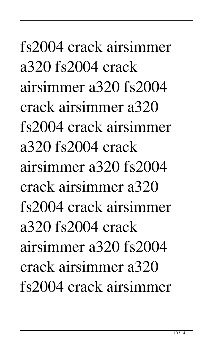fs2004 crack airsimmer a320 fs2004 crack airsimmer a320 fs2004 crack airsimmer a320 fs2004 crack airsimmer a320 fs2004 crack airsimmer a320 fs2004 crack airsimmer a320 fs2004 crack airsimmer a320 fs2004 crack airsimmer a320 fs2004 crack airsimmer a320 fs2004 crack airsimmer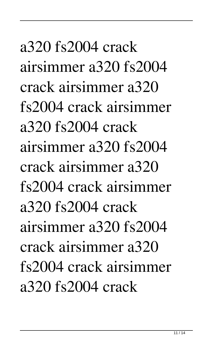a320 fs2004 crack airsimmer a320 fs2004 crack airsimmer a320 fs2004 crack airsimmer a320 fs2004 crack airsimmer a320 fs2004 crack airsimmer a320 fs2004 crack airsimmer a320 fs2004 crack airsimmer a320 fs2004 crack airsimmer a320 fs2004 crack airsimmer a320 fs2004 crack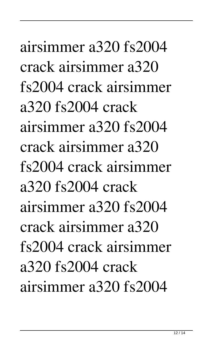airsimmer a320 fs2004 crack airsimmer a320 fs2004 crack airsimmer a320 fs2004 crack airsimmer a320 fs2004 crack airsimmer a320 fs2004 crack airsimmer a320 fs2004 crack airsimmer a320 fs2004 crack airsimmer a320 fs2004 crack airsimmer a320 fs2004 crack airsimmer a320 fs2004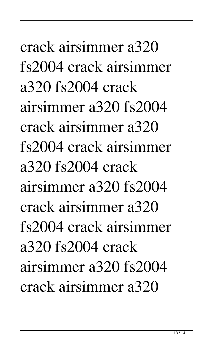crack airsimmer a320 fs2004 crack airsimmer a320 fs2004 crack airsimmer a320 fs2004 crack airsimmer a320 fs2004 crack airsimmer a320 fs2004 crack airsimmer a320 fs2004 crack airsimmer a320 fs2004 crack airsimmer a320 fs2004 crack airsimmer a320 fs2004 crack airsimmer a320